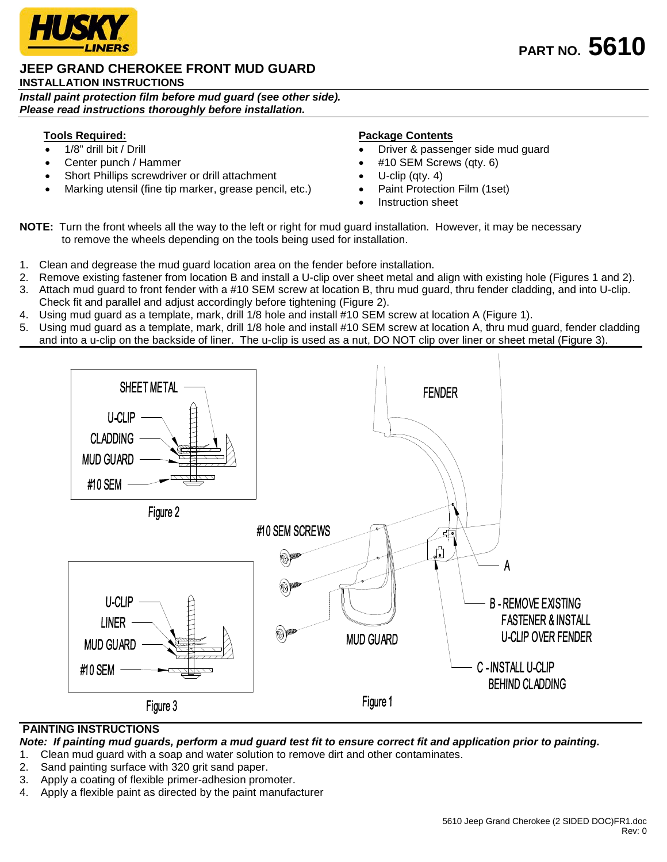

### **JEEP GRAND CHEROKEE FRONT MUD GUARD INSTALLATION INSTRUCTIONS**

*Install paint protection film before mud guard (see other side). Please read instructions thoroughly before installation.*

## **Tools Required:**

- 1/8" drill bit / Drill
- Center punch / Hammer
- Short Phillips screwdriver or drill attachment
- Marking utensil (fine tip marker, grease pencil, etc.)

## **Package Contents**

- Driver & passenger side mud guard
- #10 SEM Screws (qty. 6)
- U-clip (qty.  $4$ )
- Paint Protection Film (1set)
- Instruction sheet

**NOTE:** Turn the front wheels all the way to the left or right for mud guard installation. However, it may be necessary to remove the wheels depending on the tools being used for installation.

- 1. Clean and degrease the mud guard location area on the fender before installation.
- 2. Remove existing fastener from location B and install a U-clip over sheet metal and align with existing hole (Figures 1 and 2).
- 3. Attach mud guard to front fender with a #10 SEM screw at location B, thru mud guard, thru fender cladding, and into U-clip. Check fit and parallel and adjust accordingly before tightening (Figure 2).
- 4. Using mud guard as a template, mark, drill 1/8 hole and install #10 SEM screw at location A (Figure 1).
- 5. Using mud guard as a template, mark, drill 1/8 hole and install #10 SEM screw at location A, thru mud guard, fender cladding and into a u-clip on the backside of liner. The u-clip is used as a nut, DO NOT clip over liner or sheet metal (Figure 3).



## **PAINTING INSTRUCTIONS**

*Note: If painting mud guards, perform a mud guard test fit to ensure correct fit and application prior to painting.*

- 1. Clean mud guard with a soap and water solution to remove dirt and other contaminates.
- 2. Sand painting surface with 320 grit sand paper.
- 3. Apply a coating of flexible primer-adhesion promoter.
- 4. Apply a flexible paint as directed by the paint manufacturer